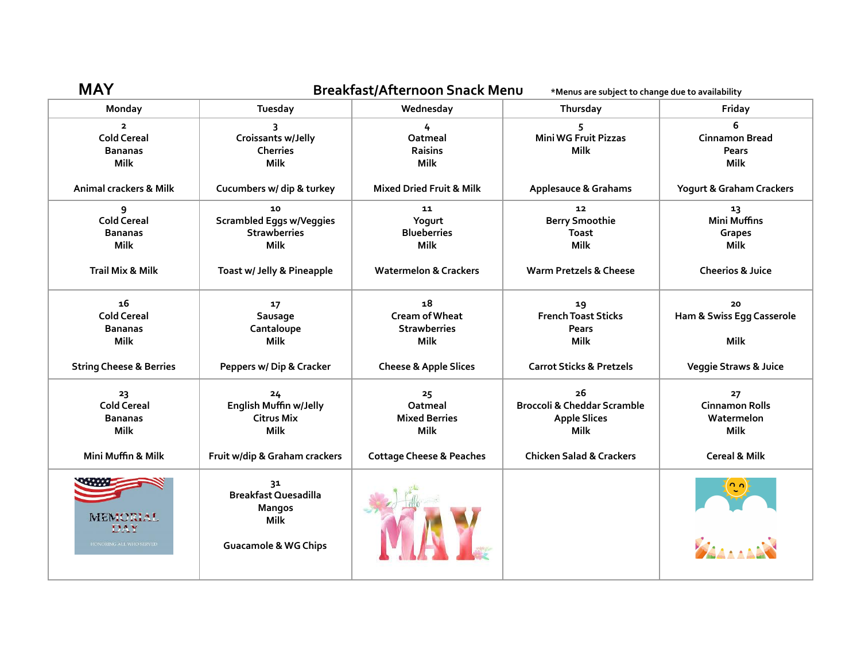| <b>MAY</b>                                                            | Breakfast/Afternoon Snack Menu<br>*Menus are subject to change due to availability                   |                                                                   |                                                                                    |                                                          |  |
|-----------------------------------------------------------------------|------------------------------------------------------------------------------------------------------|-------------------------------------------------------------------|------------------------------------------------------------------------------------|----------------------------------------------------------|--|
| Monday                                                                | Tuesday                                                                                              | Wednesday                                                         | Thursday                                                                           | Friday                                                   |  |
| $\overline{2}$<br><b>Cold Cereal</b><br><b>Bananas</b><br><b>Milk</b> | 3<br>Croissants w/Jelly<br><b>Cherries</b><br><b>Milk</b>                                            | 4<br>Oatmeal<br><b>Raisins</b><br><b>Milk</b>                     | 5<br>Mini WG Fruit Pizzas<br><b>Milk</b>                                           | 6<br><b>Cinnamon Bread</b><br>Pears<br><b>Milk</b>       |  |
| Animal crackers & Milk                                                | Cucumbers w/ dip & turkey                                                                            | <b>Mixed Dried Fruit &amp; Milk</b>                               | Applesauce & Grahams                                                               | Yogurt & Graham Crackers                                 |  |
| 9<br><b>Cold Cereal</b><br><b>Bananas</b><br><b>Milk</b>              | 10<br><b>Scrambled Eggs w/Veggies</b><br><b>Strawberries</b><br><b>Milk</b>                          | 11<br>Yogurt<br><b>Blueberries</b><br>Milk                        | 12 <sub>1</sub><br><b>Berry Smoothie</b><br><b>Toast</b><br><b>Milk</b>            | 13<br><b>Mini Muffins</b><br>Grapes<br><b>Milk</b>       |  |
| <b>Trail Mix &amp; Milk</b>                                           | Toast w/ Jelly & Pineapple                                                                           | <b>Watermelon &amp; Crackers</b>                                  | Warm Pretzels & Cheese                                                             | <b>Cheerios &amp; Juice</b>                              |  |
| 16<br><b>Cold Cereal</b><br><b>Bananas</b><br><b>Milk</b>             | 17<br>Sausage<br>Cantaloupe<br><b>Milk</b>                                                           | 18<br><b>Cream of Wheat</b><br><b>Strawberries</b><br><b>Milk</b> | 19<br><b>French Toast Sticks</b><br>Pears<br>Milk                                  | 20<br>Ham & Swiss Egg Casserole<br>Milk                  |  |
| <b>String Cheese &amp; Berries</b>                                    | Peppers w/ Dip & Cracker                                                                             | <b>Cheese &amp; Apple Slices</b>                                  | <b>Carrot Sticks &amp; Pretzels</b>                                                | <b>Veggie Straws &amp; Juice</b>                         |  |
| 23<br><b>Cold Cereal</b><br><b>Bananas</b><br><b>Milk</b>             | 24<br>English Muffin w/Jelly<br><b>Citrus Mix</b><br><b>Milk</b>                                     | 25<br>Oatmeal<br><b>Mixed Berries</b><br><b>Milk</b>              | 26<br><b>Broccoli &amp; Cheddar Scramble</b><br><b>Apple Slices</b><br><b>Milk</b> | 27<br><b>Cinnamon Rolls</b><br>Watermelon<br><b>Milk</b> |  |
| Mini Muffin & Milk                                                    | Fruit w/dip & Graham crackers                                                                        | <b>Cottage Cheese &amp; Peaches</b>                               | <b>Chicken Salad &amp; Crackers</b>                                                | <b>Cereal &amp; Milk</b>                                 |  |
| MEMORIAL<br>DAY<br>HONORING ALL WHO SERVED.                           | 31<br><b>Breakfast Quesadilla</b><br><b>Mangos</b><br><b>Milk</b><br><b>Guacamole &amp; WG Chips</b> |                                                                   |                                                                                    |                                                          |  |